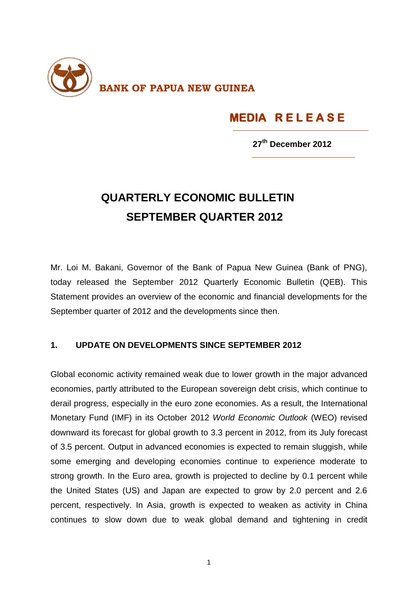

## **MEDIA R E L E A S E**

 **27 th December 2012**

## **QUARTERLY ECONOMIC BULLETIN SEPTEMBER QUARTER 2012**

Mr. Loi M. Bakani, Governor of the Bank of Papua New Guinea (Bank of PNG), today released the September 2012 Quarterly Economic Bulletin (QEB). This Statement provides an overview of the economic and financial developments for the September quarter of 2012 and the developments since then.

## **1. UPDATE ON DEVELOPMENTS SINCE SEPTEMBER 2012**

Global economic activity remained weak due to lower growth in the major advanced economies, partly attributed to the European sovereign debt crisis, which continue to derail progress, especially in the euro zone economies. As a result, the International Monetary Fund (IMF) in its October 2012 *World Economic Outlook* (WEO) revised downward its forecast for global growth to 3.3 percent in 2012, from its July forecast of 3.5 percent. Output in advanced economies is expected to remain sluggish, while some emerging and developing economies continue to experience moderate to strong growth. In the Euro area, growth is projected to decline by 0.1 percent while the United States (US) and Japan are expected to grow by 2.0 percent and 2.6 percent, respectively. In Asia, growth is expected to weaken as activity in China continues to slow down due to weak global demand and tightening in credit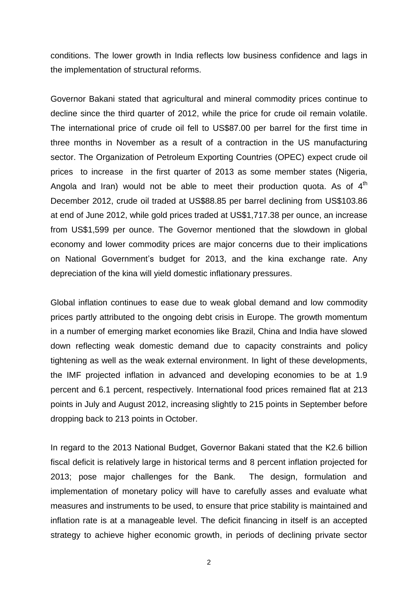conditions. The lower growth in India reflects low business confidence and lags in the implementation of structural reforms.

Governor Bakani stated that agricultural and mineral commodity prices continue to decline since the third quarter of 2012, while the price for crude oil remain volatile. The international price of crude oil fell to US\$87.00 per barrel for the first time in three months in November as a result of a contraction in the US manufacturing sector. The Organization of Petroleum Exporting Countries (OPEC) expect crude oil prices to increase in the first quarter of 2013 as some member states (Nigeria, Angola and Iran) would not be able to meet their production quota. As of  $4<sup>th</sup>$ December 2012, crude oil traded at US\$88.85 per barrel declining from US\$103.86 at end of June 2012, while gold prices traded at US\$1,717.38 per ounce, an increase from US\$1,599 per ounce. The Governor mentioned that the slowdown in global economy and lower commodity prices are major concerns due to their implications on National Government's budget for 2013, and the kina exchange rate. Any depreciation of the kina will yield domestic inflationary pressures.

Global inflation continues to ease due to weak global demand and low commodity prices partly attributed to the ongoing debt crisis in Europe. The growth momentum in a number of emerging market economies like Brazil, China and India have slowed down reflecting weak domestic demand due to capacity constraints and policy tightening as well as the weak external environment. In light of these developments, the IMF projected inflation in advanced and developing economies to be at 1.9 percent and 6.1 percent, respectively. International food prices remained flat at 213 points in July and August 2012, increasing slightly to 215 points in September before dropping back to 213 points in October.

In regard to the 2013 National Budget, Governor Bakani stated that the K2.6 billion fiscal deficit is relatively large in historical terms and 8 percent inflation projected for 2013; pose major challenges for the Bank. The design, formulation and implementation of monetary policy will have to carefully asses and evaluate what measures and instruments to be used, to ensure that price stability is maintained and inflation rate is at a manageable level. The deficit financing in itself is an accepted strategy to achieve higher economic growth, in periods of declining private sector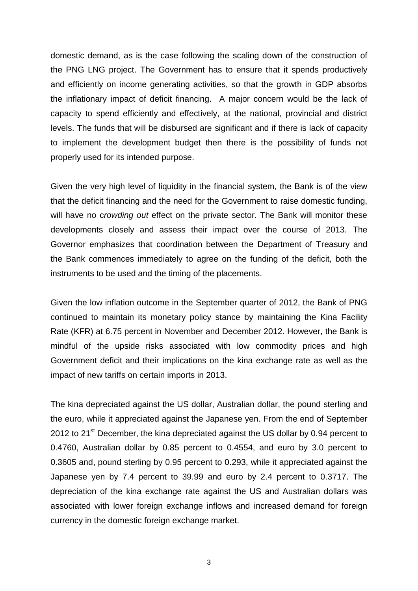domestic demand, as is the case following the scaling down of the construction of the PNG LNG project. The Government has to ensure that it spends productively and efficiently on income generating activities, so that the growth in GDP absorbs the inflationary impact of deficit financing. A major concern would be the lack of capacity to spend efficiently and effectively, at the national, provincial and district levels. The funds that will be disbursed are significant and if there is lack of capacity to implement the development budget then there is the possibility of funds not properly used for its intended purpose.

Given the very high level of liquidity in the financial system, the Bank is of the view that the deficit financing and the need for the Government to raise domestic funding, will have no c*rowding out* effect on the private sector. The Bank will monitor these developments closely and assess their impact over the course of 2013. The Governor emphasizes that coordination between the Department of Treasury and the Bank commences immediately to agree on the funding of the deficit, both the instruments to be used and the timing of the placements.

Given the low inflation outcome in the September quarter of 2012, the Bank of PNG continued to maintain its monetary policy stance by maintaining the Kina Facility Rate (KFR) at 6.75 percent in November and December 2012. However, the Bank is mindful of the upside risks associated with low commodity prices and high Government deficit and their implications on the kina exchange rate as well as the impact of new tariffs on certain imports in 2013.

The kina depreciated against the US dollar, Australian dollar, the pound sterling and the euro, while it appreciated against the Japanese yen. From the end of September 2012 to 21<sup>st</sup> December, the kina depreciated against the US dollar by 0.94 percent to 0.4760, Australian dollar by 0.85 percent to 0.4554, and euro by 3.0 percent to 0.3605 and, pound sterling by 0.95 percent to 0.293, while it appreciated against the Japanese yen by 7.4 percent to 39.99 and euro by 2.4 percent to 0.3717. The depreciation of the kina exchange rate against the US and Australian dollars was associated with lower foreign exchange inflows and increased demand for foreign currency in the domestic foreign exchange market.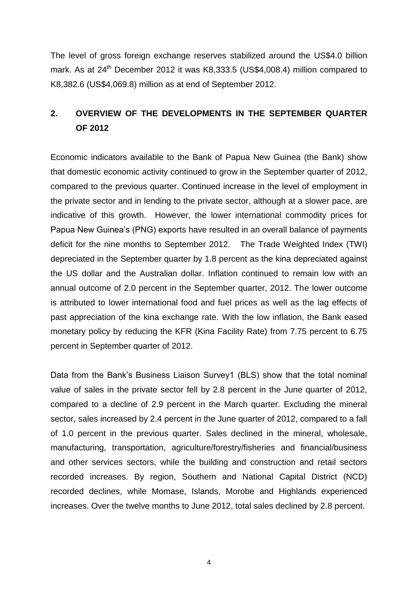The level of gross foreign exchange reserves stabilized around the US\$4.0 billion mark. As at 24<sup>th</sup> December 2012 it was K8,333.5 (US\$4,008.4) million compared to K8,382.6 (US\$4,069.8) million as at end of September 2012.

## **2. OVERVIEW OF THE DEVELOPMENTS IN THE SEPTEMBER QUARTER OF 2012**

Economic indicators available to the Bank of Papua New Guinea (the Bank) show that domestic economic activity continued to grow in the September quarter of 2012, compared to the previous quarter. Continued increase in the level of employment in the private sector and in lending to the private sector, although at a slower pace, are indicative of this growth. However, the lower international commodity prices for Papua New Guinea's (PNG) exports have resulted in an overall balance of payments deficit for the nine months to September 2012. The Trade Weighted Index (TWI) depreciated in the September quarter by 1.8 percent as the kina depreciated against the US dollar and the Australian dollar. Inflation continued to remain low with an annual outcome of 2.0 percent in the September quarter, 2012. The lower outcome is attributed to lower international food and fuel prices as well as the lag effects of past appreciation of the kina exchange rate. With the low inflation, the Bank eased monetary policy by reducing the KFR (Kina Facility Rate) from 7.75 percent to 6.75 percent in September quarter of 2012.

Data from the Bank's Business Liaison Survey1 (BLS) show that the total nominal value of sales in the private sector fell by 2.8 percent in the June quarter of 2012, compared to a decline of 2.9 percent in the March quarter. Excluding the mineral sector, sales increased by 2.4 percent in the June quarter of 2012, compared to a fall of 1.0 percent in the previous quarter. Sales declined in the mineral, wholesale, manufacturing, transportation, agriculture/forestry/fisheries and financial/business and other services sectors, while the building and construction and retail sectors recorded increases. By region, Southern and National Capital District (NCD) recorded declines, while Momase, Islands, Morobe and Highlands experienced increases. Over the twelve months to June 2012, total sales declined by 2.8 percent.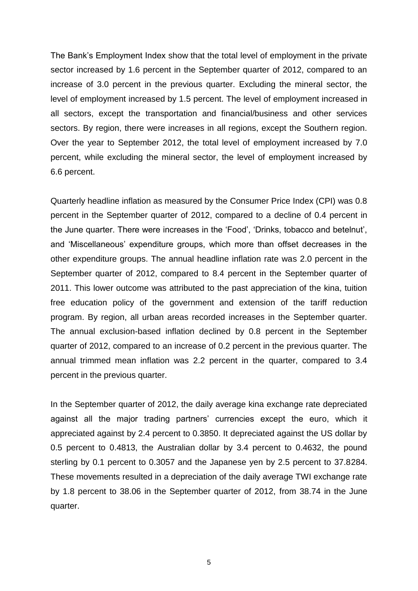The Bank's Employment Index show that the total level of employment in the private sector increased by 1.6 percent in the September quarter of 2012, compared to an increase of 3.0 percent in the previous quarter. Excluding the mineral sector, the level of employment increased by 1.5 percent. The level of employment increased in all sectors, except the transportation and financial/business and other services sectors. By region, there were increases in all regions, except the Southern region. Over the year to September 2012, the total level of employment increased by 7.0 percent, while excluding the mineral sector, the level of employment increased by 6.6 percent.

Quarterly headline inflation as measured by the Consumer Price Index (CPI) was 0.8 percent in the September quarter of 2012, compared to a decline of 0.4 percent in the June quarter. There were increases in the 'Food', 'Drinks, tobacco and betelnut', and 'Miscellaneous' expenditure groups, which more than offset decreases in the other expenditure groups. The annual headline inflation rate was 2.0 percent in the September quarter of 2012, compared to 8.4 percent in the September quarter of 2011. This lower outcome was attributed to the past appreciation of the kina, tuition free education policy of the government and extension of the tariff reduction program. By region, all urban areas recorded increases in the September quarter. The annual exclusion-based inflation declined by 0.8 percent in the September quarter of 2012, compared to an increase of 0.2 percent in the previous quarter. The annual trimmed mean inflation was 2.2 percent in the quarter, compared to 3.4 percent in the previous quarter.

In the September quarter of 2012, the daily average kina exchange rate depreciated against all the major trading partners' currencies except the euro, which it appreciated against by 2.4 percent to 0.3850. It depreciated against the US dollar by 0.5 percent to 0.4813, the Australian dollar by 3.4 percent to 0.4632, the pound sterling by 0.1 percent to 0.3057 and the Japanese yen by 2.5 percent to 37.8284. These movements resulted in a depreciation of the daily average TWI exchange rate by 1.8 percent to 38.06 in the September quarter of 2012, from 38.74 in the June quarter.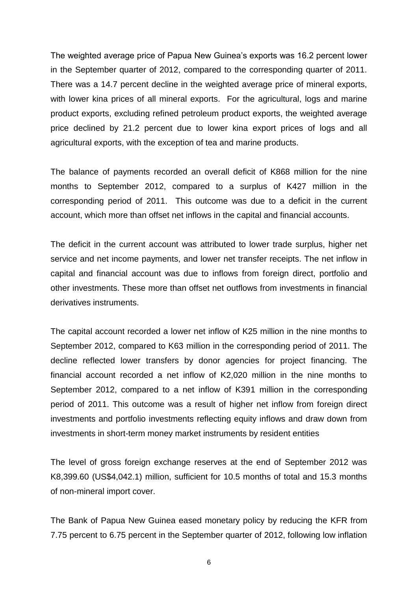The weighted average price of Papua New Guinea's exports was 16.2 percent lower in the September quarter of 2012, compared to the corresponding quarter of 2011. There was a 14.7 percent decline in the weighted average price of mineral exports, with lower kina prices of all mineral exports. For the agricultural, logs and marine product exports, excluding refined petroleum product exports, the weighted average price declined by 21.2 percent due to lower kina export prices of logs and all agricultural exports, with the exception of tea and marine products.

The balance of payments recorded an overall deficit of K868 million for the nine months to September 2012, compared to a surplus of K427 million in the corresponding period of 2011. This outcome was due to a deficit in the current account, which more than offset net inflows in the capital and financial accounts.

The deficit in the current account was attributed to lower trade surplus, higher net service and net income payments, and lower net transfer receipts. The net inflow in capital and financial account was due to inflows from foreign direct, portfolio and other investments. These more than offset net outflows from investments in financial derivatives instruments.

The capital account recorded a lower net inflow of K25 million in the nine months to September 2012, compared to K63 million in the corresponding period of 2011. The decline reflected lower transfers by donor agencies for project financing. The financial account recorded a net inflow of K2,020 million in the nine months to September 2012, compared to a net inflow of K391 million in the corresponding period of 2011. This outcome was a result of higher net inflow from foreign direct investments and portfolio investments reflecting equity inflows and draw down from investments in short-term money market instruments by resident entities

The level of gross foreign exchange reserves at the end of September 2012 was K8,399.60 (US\$4,042.1) million, sufficient for 10.5 months of total and 15.3 months of non-mineral import cover.

The Bank of Papua New Guinea eased monetary policy by reducing the KFR from 7.75 percent to 6.75 percent in the September quarter of 2012, following low inflation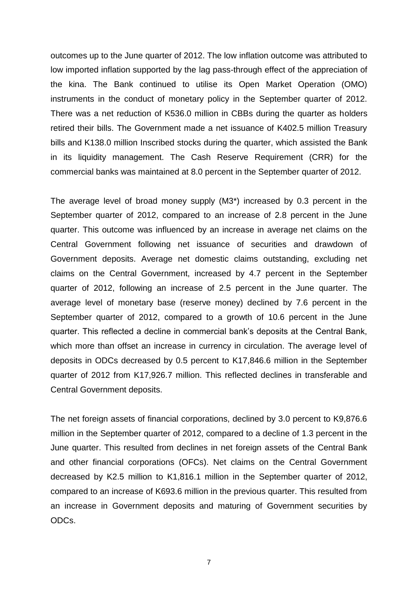outcomes up to the June quarter of 2012. The low inflation outcome was attributed to low imported inflation supported by the lag pass-through effect of the appreciation of the kina. The Bank continued to utilise its Open Market Operation (OMO) instruments in the conduct of monetary policy in the September quarter of 2012. There was a net reduction of K536.0 million in CBBs during the quarter as holders retired their bills. The Government made a net issuance of K402.5 million Treasury bills and K138.0 million Inscribed stocks during the quarter, which assisted the Bank in its liquidity management. The Cash Reserve Requirement (CRR) for the commercial banks was maintained at 8.0 percent in the September quarter of 2012.

The average level of broad money supply (M3\*) increased by 0.3 percent in the September quarter of 2012, compared to an increase of 2.8 percent in the June quarter. This outcome was influenced by an increase in average net claims on the Central Government following net issuance of securities and drawdown of Government deposits. Average net domestic claims outstanding, excluding net claims on the Central Government, increased by 4.7 percent in the September quarter of 2012, following an increase of 2.5 percent in the June quarter. The average level of monetary base (reserve money) declined by 7.6 percent in the September quarter of 2012, compared to a growth of 10.6 percent in the June quarter. This reflected a decline in commercial bank's deposits at the Central Bank, which more than offset an increase in currency in circulation. The average level of deposits in ODCs decreased by 0.5 percent to K17,846.6 million in the September quarter of 2012 from K17,926.7 million. This reflected declines in transferable and Central Government deposits.

The net foreign assets of financial corporations, declined by 3.0 percent to K9,876.6 million in the September quarter of 2012, compared to a decline of 1.3 percent in the June quarter. This resulted from declines in net foreign assets of the Central Bank and other financial corporations (OFCs). Net claims on the Central Government decreased by K2.5 million to K1,816.1 million in the September quarter of 2012, compared to an increase of K693.6 million in the previous quarter. This resulted from an increase in Government deposits and maturing of Government securities by ODCs.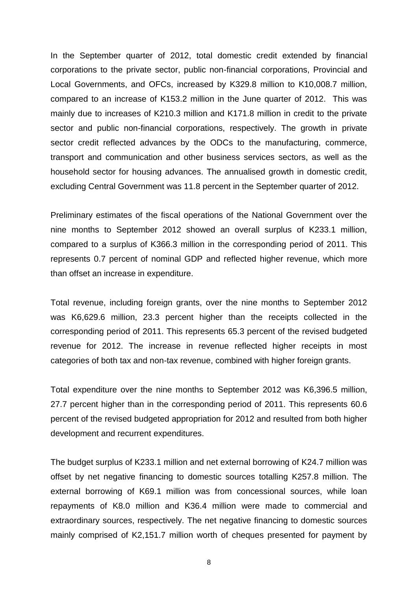In the September quarter of 2012, total domestic credit extended by financial corporations to the private sector, public non-financial corporations, Provincial and Local Governments, and OFCs, increased by K329.8 million to K10,008.7 million, compared to an increase of K153.2 million in the June quarter of 2012. This was mainly due to increases of K210.3 million and K171.8 million in credit to the private sector and public non-financial corporations, respectively. The growth in private sector credit reflected advances by the ODCs to the manufacturing, commerce, transport and communication and other business services sectors, as well as the household sector for housing advances. The annualised growth in domestic credit, excluding Central Government was 11.8 percent in the September quarter of 2012.

Preliminary estimates of the fiscal operations of the National Government over the nine months to September 2012 showed an overall surplus of K233.1 million, compared to a surplus of K366.3 million in the corresponding period of 2011. This represents 0.7 percent of nominal GDP and reflected higher revenue, which more than offset an increase in expenditure.

Total revenue, including foreign grants, over the nine months to September 2012 was K6,629.6 million, 23.3 percent higher than the receipts collected in the corresponding period of 2011. This represents 65.3 percent of the revised budgeted revenue for 2012. The increase in revenue reflected higher receipts in most categories of both tax and non-tax revenue, combined with higher foreign grants.

Total expenditure over the nine months to September 2012 was K6,396.5 million, 27.7 percent higher than in the corresponding period of 2011. This represents 60.6 percent of the revised budgeted appropriation for 2012 and resulted from both higher development and recurrent expenditures.

The budget surplus of K233.1 million and net external borrowing of K24.7 million was offset by net negative financing to domestic sources totalling K257.8 million. The external borrowing of K69.1 million was from concessional sources, while loan repayments of K8.0 million and K36.4 million were made to commercial and extraordinary sources, respectively. The net negative financing to domestic sources mainly comprised of K2,151.7 million worth of cheques presented for payment by